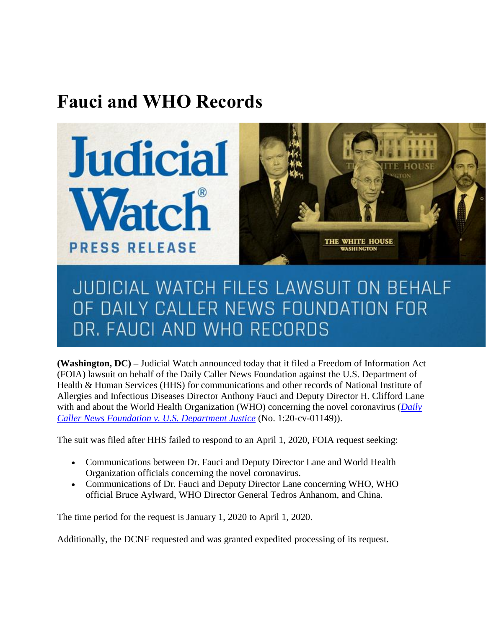## **Fauci and WHO Records**



## JUDICIAL WATCH FILES LAWSUIT ON BEHALF OF DAILY CALLER NEWS FOUNDATION FOR DR. FAUCI AND WHO RECORDS

**(Washington, DC) –** Judicial Watch announced today that it filed a Freedom of Information Act (FOIA) lawsuit on behalf of the Daily Caller News Foundation against the U.S. Department of Health & Human Services (HHS) for communications and other records of National Institute of Allergies and Infectious Diseases Director Anthony Fauci and Deputy Director H. Clifford Lane with and about the World Health Organization (WHO) concerning the novel coronavirus (*[Daily](https://www.judicialwatch.org/documents/dcnf-v-hhs-who-complaint-01149/)  [Caller News Foundation v. U.S. Department Justice](https://www.judicialwatch.org/documents/dcnf-v-hhs-who-complaint-01149/)* (No. 1:20-cv-01149)).

The suit was filed after HHS failed to respond to an April 1, 2020, FOIA request seeking:

- Communications between Dr. Fauci and Deputy Director Lane and World Health Organization officials concerning the novel coronavirus.
- Communications of Dr. Fauci and Deputy Director Lane concerning WHO, WHO official Bruce Aylward, WHO Director General Tedros Anhanom, and China.

The time period for the request is January 1, 2020 to April 1, 2020.

Additionally, the DCNF requested and was granted expedited processing of its request.